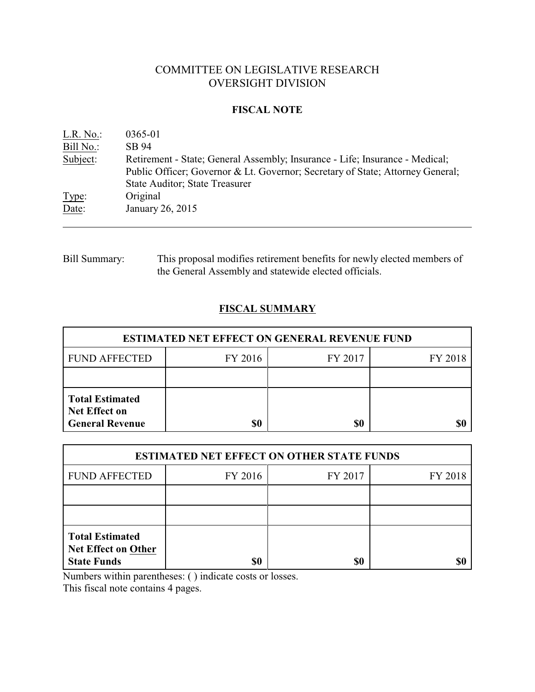# COMMITTEE ON LEGISLATIVE RESEARCH OVERSIGHT DIVISION

#### **FISCAL NOTE**

| L.R. No.  | 0365-01                                                                                                                                                                                                  |
|-----------|----------------------------------------------------------------------------------------------------------------------------------------------------------------------------------------------------------|
| Bill No.: | SB 94                                                                                                                                                                                                    |
| Subject:  | Retirement - State; General Assembly; Insurance - Life; Insurance - Medical;<br>Public Officer; Governor & Lt. Governor; Secretary of State; Attorney General;<br><b>State Auditor</b> ; State Treasurer |
| Type:     | Original                                                                                                                                                                                                 |
| Date:     | January 26, 2015                                                                                                                                                                                         |

Bill Summary: This proposal modifies retirement benefits for newly elected members of the General Assembly and statewide elected officials.

# **FISCAL SUMMARY**

| <b>ESTIMATED NET EFFECT ON GENERAL REVENUE FUND</b>                      |         |         |         |  |  |
|--------------------------------------------------------------------------|---------|---------|---------|--|--|
| <b>FUND AFFECTED</b>                                                     | FY 2016 | FY 2017 | FY 2018 |  |  |
|                                                                          |         |         |         |  |  |
| <b>Total Estimated</b><br><b>Net Effect on</b><br><b>General Revenue</b> | \$0     | \$0     |         |  |  |

| <b>ESTIMATED NET EFFECT ON OTHER STATE FUNDS</b>                           |         |         |         |  |  |
|----------------------------------------------------------------------------|---------|---------|---------|--|--|
| <b>FUND AFFECTED</b>                                                       | FY 2016 | FY 2017 | FY 2018 |  |  |
|                                                                            |         |         |         |  |  |
|                                                                            |         |         |         |  |  |
| <b>Total Estimated</b><br><b>Net Effect on Other</b><br><b>State Funds</b> | \$0     | \$0     |         |  |  |

Numbers within parentheses: ( ) indicate costs or losses.

This fiscal note contains 4 pages.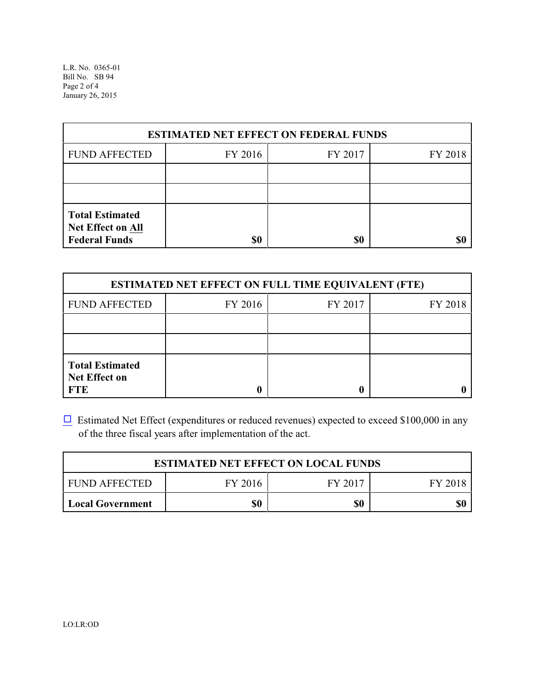L.R. No. 0365-01 Bill No. SB 94 Page 2 of 4 January 26, 2015

| <b>ESTIMATED NET EFFECT ON FEDERAL FUNDS</b>                        |         |         |         |  |  |
|---------------------------------------------------------------------|---------|---------|---------|--|--|
| <b>FUND AFFECTED</b>                                                | FY 2016 | FY 2017 | FY 2018 |  |  |
|                                                                     |         |         |         |  |  |
|                                                                     |         |         |         |  |  |
| <b>Total Estimated</b><br>Net Effect on All<br><b>Federal Funds</b> | \$0     | \$0     |         |  |  |

| <b>ESTIMATED NET EFFECT ON FULL TIME EQUIVALENT (FTE)</b>    |         |         |         |  |  |
|--------------------------------------------------------------|---------|---------|---------|--|--|
| <b>FUND AFFECTED</b>                                         | FY 2016 | FY 2017 | FY 2018 |  |  |
|                                                              |         |         |         |  |  |
|                                                              |         |         |         |  |  |
| <b>Total Estimated</b><br><b>Net Effect on</b><br><b>FTE</b> |         |         |         |  |  |

 $\Box$  Estimated Net Effect (expenditures or reduced revenues) expected to exceed \$100,000 in any of the three fiscal years after implementation of the act.

| <b>ESTIMATED NET EFFECT ON LOCAL FUNDS</b>            |     |     |     |  |
|-------------------------------------------------------|-----|-----|-----|--|
| FY 2017<br><b>FUND AFFECTED</b><br>FY 2016<br>FY 2018 |     |     |     |  |
| Local Government                                      | \$0 | \$0 | \$0 |  |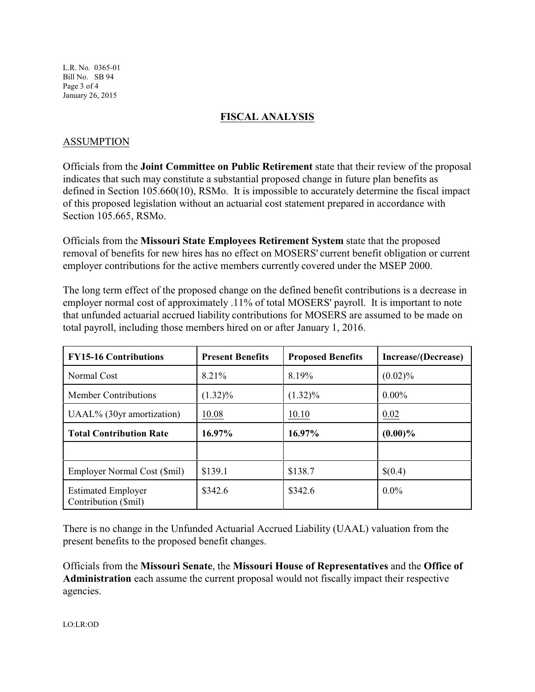L.R. No. 0365-01 Bill No. SB 94 Page 3 of 4 January 26, 2015

## **FISCAL ANALYSIS**

#### ASSUMPTION

Officials from the **Joint Committee on Public Retirement** state that their review of the proposal indicates that such may constitute a substantial proposed change in future plan benefits as defined in Section 105.660(10), RSMo. It is impossible to accurately determine the fiscal impact of this proposed legislation without an actuarial cost statement prepared in accordance with Section 105.665, RSMo.

Officials from the **Missouri State Employees Retirement System** state that the proposed removal of benefits for new hires has no effect on MOSERS' current benefit obligation or current employer contributions for the active members currently covered under the MSEP 2000.

The long term effect of the proposed change on the defined benefit contributions is a decrease in employer normal cost of approximately .11% of total MOSERS' payroll. It is important to note that unfunded actuarial accrued liability contributions for MOSERS are assumed to be made on total payroll, including those members hired on or after January 1, 2016.

| <b>FY15-16 Contributions</b>                      | <b>Present Benefits</b> | <b>Proposed Benefits</b> | Increase/(Decrease) |
|---------------------------------------------------|-------------------------|--------------------------|---------------------|
| Normal Cost                                       | 8.21%                   | 8.19%                    | $(0.02)\%$          |
| Member Contributions                              | $(1.32)\%$              | $(1.32)\%$               | $0.00\%$            |
| UAAL% (30yr amortization)                         | 10.08                   | 10.10                    | 0.02                |
| <b>Total Contribution Rate</b>                    | 16.97%                  | 16.97%                   | $(0.00)\%$          |
|                                                   |                         |                          |                     |
| Employer Normal Cost (\$mil)                      | \$139.1                 | \$138.7                  | \$(0.4)             |
| <b>Estimated Employer</b><br>Contribution (\$mil) | \$342.6                 | \$342.6                  | $0.0\%$             |

There is no change in the Unfunded Actuarial Accrued Liability (UAAL) valuation from the present benefits to the proposed benefit changes.

Officials from the **Missouri Senate**, the **Missouri House of Representatives** and the **Office of Administration** each assume the current proposal would not fiscally impact their respective agencies.